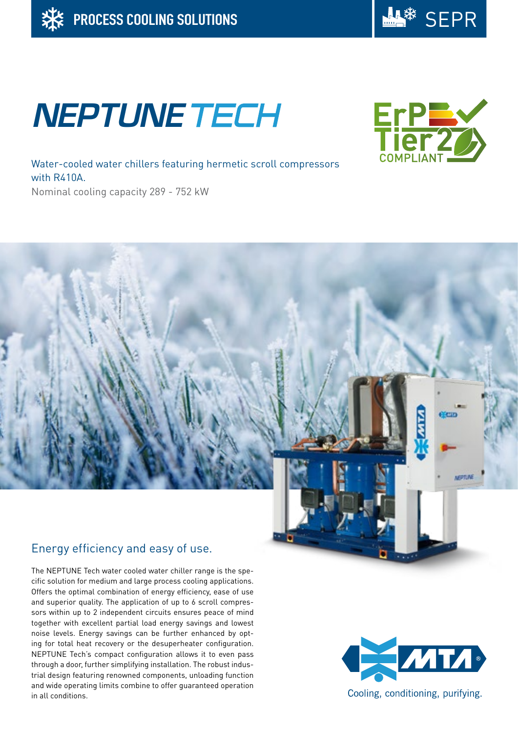

# **NEPTUNE TECH**



Water-cooled water chillers featuring hermetic scroll compressors with R410A. Nominal cooling capacity 289 - 752 kW

## Energy efficiency and easy of use.

The NEPTUNE Tech water cooled water chiller range is the specific solution for medium and large process cooling applications. Offers the optimal combination of energy efficiency, ease of use and superior quality. The application of up to 6 scroll compressors within up to 2 independent circuits ensures peace of mind together with excellent partial load energy savings and lowest noise levels. Energy savings can be further enhanced by opting for total heat recovery or the desuperheater configuration. NEPTUNE Tech's compact configuration allows it to even pass through a door, further simplifying installation. The robust industrial design featuring renowned components, unloading function and wide operating limits combine to offer guaranteed operation in all conditions.